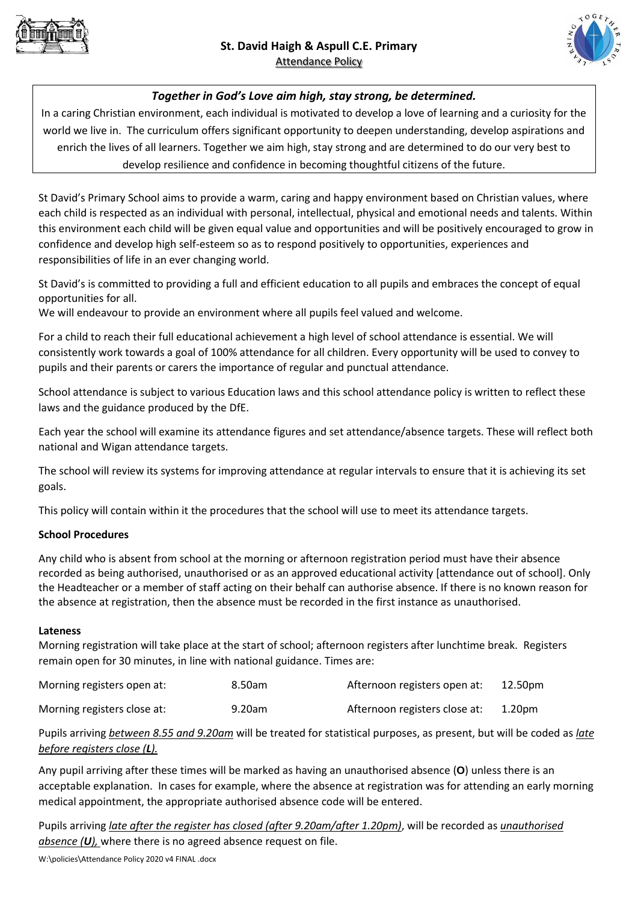



# *Together in God's Love aim high, stay strong, be determined.*

In a caring Christian environment, each individual is motivated to develop a love of learning and a curiosity for the world we live in. The curriculum offers significant opportunity to deepen understanding, develop aspirations and enrich the lives of all learners. Together we aim high, stay strong and are determined to do our very best to develop resilience and confidence in becoming thoughtful citizens of the future.

St David's Primary School aims to provide a warm, caring and happy environment based on Christian values, where each child is respected as an individual with personal, intellectual, physical and emotional needs and talents. Within this environment each child will be given equal value and opportunities and will be positively encouraged to grow in confidence and develop high self-esteem so as to respond positively to opportunities, experiences and responsibilities of life in an ever changing world.

St David's is committed to providing a full and efficient education to all pupils and embraces the concept of equal opportunities for all.

We will endeavour to provide an environment where all pupils feel valued and welcome.

For a child to reach their full educational achievement a high level of school attendance is essential. We will consistently work towards a goal of 100% attendance for all children. Every opportunity will be used to convey to pupils and their parents or carers the importance of regular and punctual attendance.

School attendance is subject to various Education laws and this school attendance policy is written to reflect these laws and the guidance produced by the DfE.

Each year the school will examine its attendance figures and set attendance/absence targets. These will reflect both national and Wigan attendance targets.

The school will review its systems for improving attendance at regular intervals to ensure that it is achieving its set goals.

This policy will contain within it the procedures that the school will use to meet its attendance targets.

# **School Procedures**

Any child who is absent from school at the morning or afternoon registration period must have their absence recorded as being authorised, unauthorised or as an approved educational activity [attendance out of school]. Only the Headteacher or a member of staff acting on their behalf can authorise absence. If there is no known reason for the absence at registration, then the absence must be recorded in the first instance as unauthorised.

#### **Lateness**

Morning registration will take place at the start of school; afternoon registers after lunchtime break. Registers remain open for 30 minutes, in line with national guidance. Times are:

| Morning registers open at:  | 8.50am | Afternoon registers open at:  | 12.50pm            |
|-----------------------------|--------|-------------------------------|--------------------|
| Morning registers close at: | 9.20am | Afternoon registers close at: | 1.20 <sub>pm</sub> |

Pupils arriving *between 8.55 and 9.20am* will be treated for statistical purposes, as present, but will be coded as *late before registers close (L).*

Any pupil arriving after these times will be marked as having an unauthorised absence (**O**) unless there is an acceptable explanation. In cases for example, where the absence at registration was for attending an early morning medical appointment, the appropriate authorised absence code will be entered.

Pupils arriving *late after the register has closed (after 9.20am/after 1.20pm)*, will be recorded as *unauthorised absence (U),* where there is no agreed absence request on file.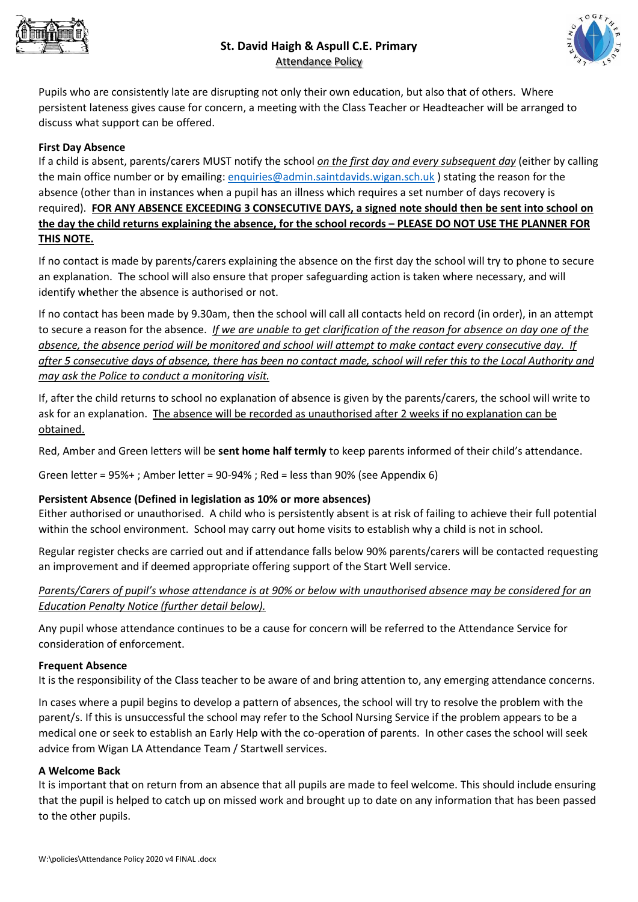



Pupils who are consistently late are disrupting not only their own education, but also that of others. Where persistent lateness gives cause for concern, a meeting with the Class Teacher or Headteacher will be arranged to discuss what support can be offered.

# **First Day Absence**

If a child is absent, parents/carers MUST notify the school *on the first day and every subsequent day* (either by calling the main office number or by emailing: [enquiries@admin.saintdavids.wigan.sch.uk](mailto:enquiries@admin.saintdavids.wigan.sch.uk) ) stating the reason for the absence (other than in instances when a pupil has an illness which requires a set number of days recovery is required). **FOR ANY ABSENCE EXCEEDING 3 CONSECUTIVE DAYS, a signed note should then be sent into school on the day the child returns explaining the absence, for the school records – PLEASE DO NOT USE THE PLANNER FOR THIS NOTE.**

If no contact is made by parents/carers explaining the absence on the first day the school will try to phone to secure an explanation. The school will also ensure that proper safeguarding action is taken where necessary, and will identify whether the absence is authorised or not.

If no contact has been made by 9.30am, then the school will call all contacts held on record (in order), in an attempt to secure a reason for the absence. *If we are unable to get clarification of the reason for absence on day one of the absence, the absence period will be monitored and school will attempt to make contact every consecutive day. If after 5 consecutive days of absence, there has been no contact made, school will refer this to the Local Authority and may ask the Police to conduct a monitoring visit.*

If, after the child returns to school no explanation of absence is given by the parents/carers, the school will write to ask for an explanation. The absence will be recorded as unauthorised after 2 weeks if no explanation can be obtained.

Red, Amber and Green letters will be **sent home half termly** to keep parents informed of their child's attendance.

Green letter = 95%+ ; Amber letter = 90-94% ; Red = less than 90% (see Appendix 6)

#### **Persistent Absence (Defined in legislation as 10% or more absences)**

Either authorised or unauthorised. A child who is persistently absent is at risk of failing to achieve their full potential within the school environment. School may carry out home visits to establish why a child is not in school.

Regular register checks are carried out and if attendance falls below 90% parents/carers will be contacted requesting an improvement and if deemed appropriate offering support of the Start Well service.

*Parents/Carers of pupil's whose attendance is at 90% or below with unauthorised absence may be considered for an Education Penalty Notice (further detail below).*

Any pupil whose attendance continues to be a cause for concern will be referred to the Attendance Service for consideration of enforcement.

#### **Frequent Absence**

It is the responsibility of the Class teacher to be aware of and bring attention to, any emerging attendance concerns.

In cases where a pupil begins to develop a pattern of absences, the school will try to resolve the problem with the parent/s. If this is unsuccessful the school may refer to the School Nursing Service if the problem appears to be a medical one or seek to establish an Early Help with the co-operation of parents. In other cases the school will seek advice from Wigan LA Attendance Team / Startwell services.

#### **A Welcome Back**

It is important that on return from an absence that all pupils are made to feel welcome. This should include ensuring that the pupil is helped to catch up on missed work and brought up to date on any information that has been passed to the other pupils.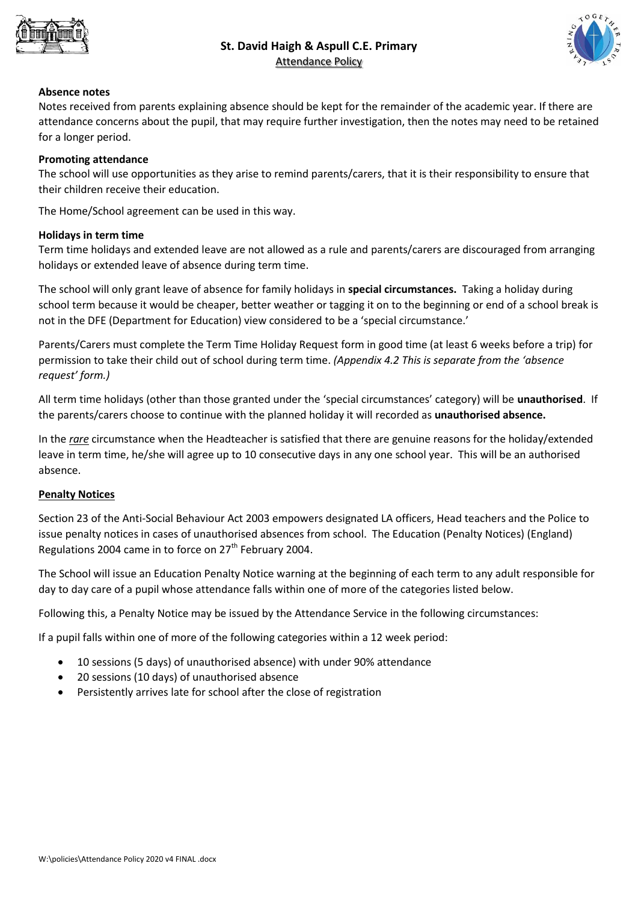



# **Absence notes**

Notes received from parents explaining absence should be kept for the remainder of the academic year. If there are attendance concerns about the pupil, that may require further investigation, then the notes may need to be retained for a longer period.

# **Promoting attendance**

The school will use opportunities as they arise to remind parents/carers, that it is their responsibility to ensure that their children receive their education.

The Home/School agreement can be used in this way.

# **Holidays in term time**

Term time holidays and extended leave are not allowed as a rule and parents/carers are discouraged from arranging holidays or extended leave of absence during term time.

The school will only grant leave of absence for family holidays in **special circumstances.** Taking a holiday during school term because it would be cheaper, better weather or tagging it on to the beginning or end of a school break is not in the DFE (Department for Education) view considered to be a 'special circumstance.'

Parents/Carers must complete the Term Time Holiday Request form in good time (at least 6 weeks before a trip) for permission to take their child out of school during term time. *(Appendix 4.2 This is separate from the 'absence request' form.)*

All term time holidays (other than those granted under the 'special circumstances' category) will be **unauthorised**. If the parents/carers choose to continue with the planned holiday it will recorded as **unauthorised absence.**

In the *rare* circumstance when the Headteacher is satisfied that there are genuine reasons for the holiday/extended leave in term time, he/she will agree up to 10 consecutive days in any one school year. This will be an authorised absence.

#### **Penalty Notices**

Section 23 of the Anti-Social Behaviour Act 2003 empowers designated LA officers, Head teachers and the Police to issue penalty notices in cases of unauthorised absences from school. The Education (Penalty Notices) (England) Regulations 2004 came in to force on  $27<sup>th</sup>$  February 2004.

The School will issue an Education Penalty Notice warning at the beginning of each term to any adult responsible for day to day care of a pupil whose attendance falls within one of more of the categories listed below.

Following this, a Penalty Notice may be issued by the Attendance Service in the following circumstances:

If a pupil falls within one of more of the following categories within a 12 week period:

- 10 sessions (5 days) of unauthorised absence) with under 90% attendance
- 20 sessions (10 days) of unauthorised absence
- Persistently arrives late for school after the close of registration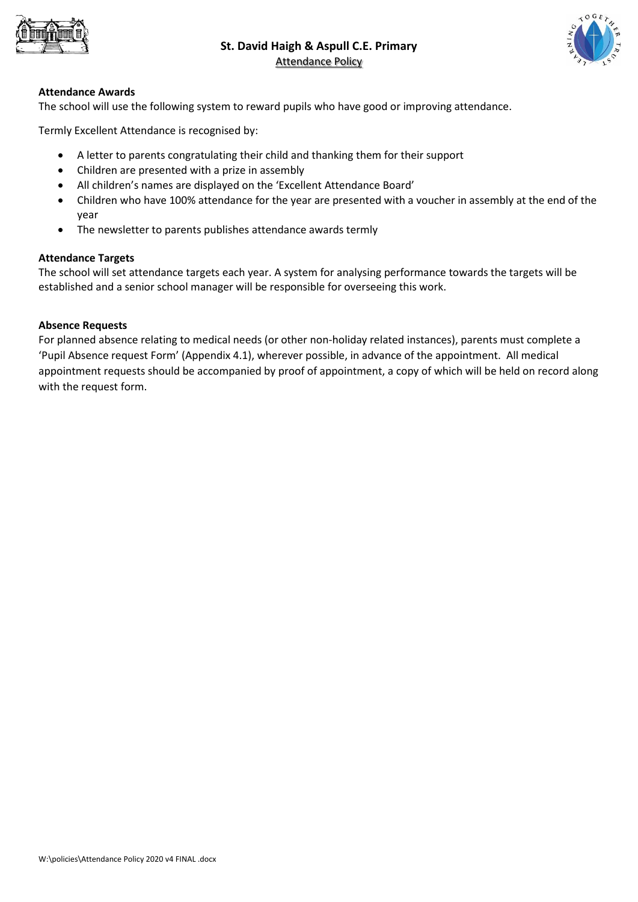



#### **Attendance Awards**

The school will use the following system to reward pupils who have good or improving attendance.

Termly Excellent Attendance is recognised by:

- A letter to parents congratulating their child and thanking them for their support
- Children are presented with a prize in assembly
- All children's names are displayed on the 'Excellent Attendance Board'
- Children who have 100% attendance for the year are presented with a voucher in assembly at the end of the year
- The newsletter to parents publishes attendance awards termly

#### **Attendance Targets**

The school will set attendance targets each year. A system for analysing performance towards the targets will be established and a senior school manager will be responsible for overseeing this work.

# **Absence Requests**

For planned absence relating to medical needs (or other non-holiday related instances), parents must complete a 'Pupil Absence request Form' (Appendix 4.1), wherever possible, in advance of the appointment. All medical appointment requests should be accompanied by proof of appointment, a copy of which will be held on record along with the request form.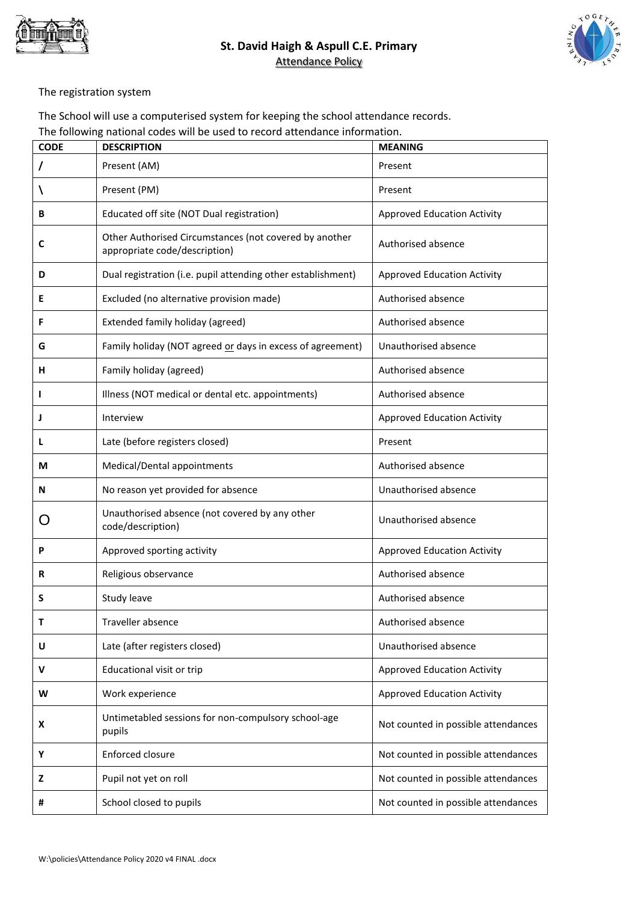



The registration system

The School will use a computerised system for keeping the school attendance records. The following national codes will be used to record attendance information.

| <b>CODE</b> | <b>DESCRIPTION</b>                                                                      | <b>MEANING</b>                      |
|-------------|-----------------------------------------------------------------------------------------|-------------------------------------|
| T           | Present (AM)                                                                            | Present                             |
| V           | Present (PM)                                                                            | Present                             |
| в           | Educated off site (NOT Dual registration)                                               | <b>Approved Education Activity</b>  |
| C           | Other Authorised Circumstances (not covered by another<br>appropriate code/description) | Authorised absence                  |
| D           | Dual registration (i.e. pupil attending other establishment)                            | <b>Approved Education Activity</b>  |
| Ε           | Excluded (no alternative provision made)                                                | Authorised absence                  |
| F           | Extended family holiday (agreed)                                                        | Authorised absence                  |
| G           | Family holiday (NOT agreed or days in excess of agreement)                              | Unauthorised absence                |
| н           | Family holiday (agreed)                                                                 | Authorised absence                  |
| I           | Illness (NOT medical or dental etc. appointments)                                       | Authorised absence                  |
| J           | Interview                                                                               | <b>Approved Education Activity</b>  |
| L           | Late (before registers closed)                                                          | Present                             |
| М           | Medical/Dental appointments                                                             | Authorised absence                  |
| N           | No reason yet provided for absence                                                      | Unauthorised absence                |
|             | Unauthorised absence (not covered by any other<br>code/description)                     | Unauthorised absence                |
| P           | Approved sporting activity                                                              | <b>Approved Education Activity</b>  |
| R           | Religious observance                                                                    | Authorised absence                  |
| S           | Study leave                                                                             | Authorised absence                  |
| Т           | Traveller absence                                                                       | Authorised absence                  |
| U           | Late (after registers closed)                                                           | Unauthorised absence                |
| v           | Educational visit or trip                                                               | <b>Approved Education Activity</b>  |
| W           | Work experience                                                                         | <b>Approved Education Activity</b>  |
| X           | Untimetabled sessions for non-compulsory school-age<br>pupils                           | Not counted in possible attendances |
| Υ           | Enforced closure                                                                        | Not counted in possible attendances |
| z           | Pupil not yet on roll                                                                   | Not counted in possible attendances |
| #           | School closed to pupils                                                                 | Not counted in possible attendances |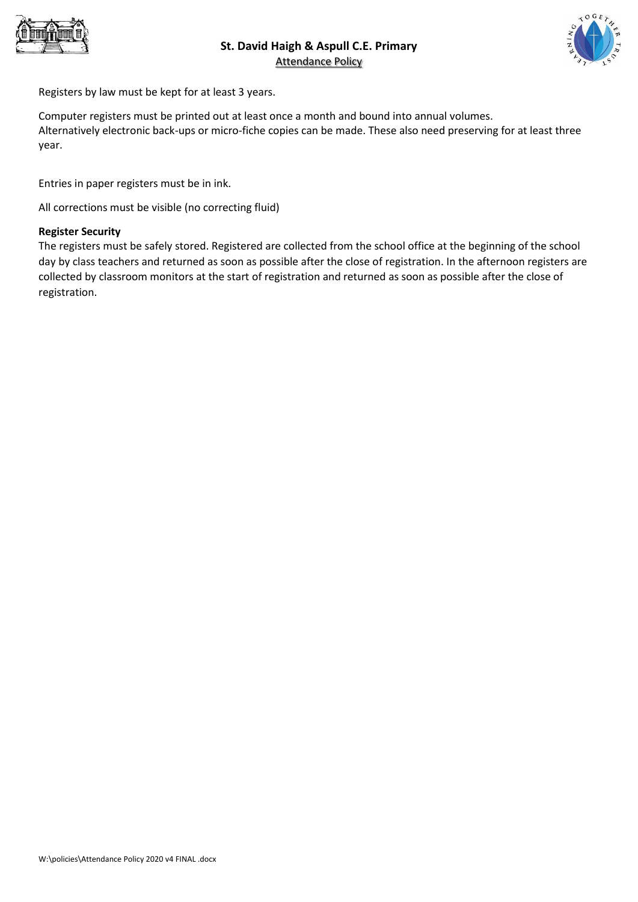



Registers by law must be kept for at least 3 years.

Computer registers must be printed out at least once a month and bound into annual volumes. Alternatively electronic back-ups or micro-fiche copies can be made. These also need preserving for at least three year.

Entries in paper registers must be in ink.

All corrections must be visible (no correcting fluid)

#### **Register Security**

The registers must be safely stored. Registered are collected from the school office at the beginning of the school day by class teachers and returned as soon as possible after the close of registration. In the afternoon registers are collected by classroom monitors at the start of registration and returned as soon as possible after the close of registration.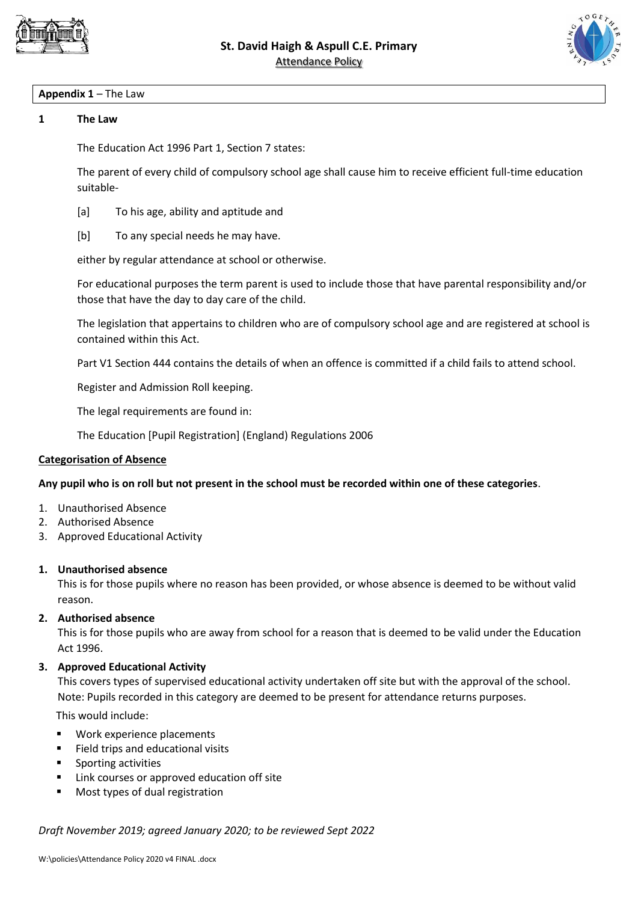



# **Appendix 1** – The Law

#### **1 The Law**

The Education Act 1996 Part 1, Section 7 states:

The parent of every child of compulsory school age shall cause him to receive efficient full-time education suitable-

- [a] To his age, ability and aptitude and
- [b] To any special needs he may have.

either by regular attendance at school or otherwise.

For educational purposes the term parent is used to include those that have parental responsibility and/or those that have the day to day care of the child.

The legislation that appertains to children who are of compulsory school age and are registered at school is contained within this Act.

Part V1 Section 444 contains the details of when an offence is committed if a child fails to attend school.

Register and Admission Roll keeping.

The legal requirements are found in:

The Education [Pupil Registration] (England) Regulations 2006

#### **Categorisation of Absence**

#### **Any pupil who is on roll but not present in the school must be recorded within one of these categories**.

- 1. Unauthorised Absence
- 2. Authorised Absence
- 3. Approved Educational Activity

#### **1. Unauthorised absence**

This is for those pupils where no reason has been provided, or whose absence is deemed to be without valid reason.

#### **2. Authorised absence**

This is for those pupils who are away from school for a reason that is deemed to be valid under the Education Act 1996.

#### **3. Approved Educational Activity**

This covers types of supervised educational activity undertaken off site but with the approval of the school. Note: Pupils recorded in this category are deemed to be present for attendance returns purposes.

This would include:

- Work experience placements
- Field trips and educational visits
- Sporting activities
- Link courses or approved education off site
- **Most types of dual registration**

*Draft November 2019; agreed January 2020; to be reviewed Sept 2022*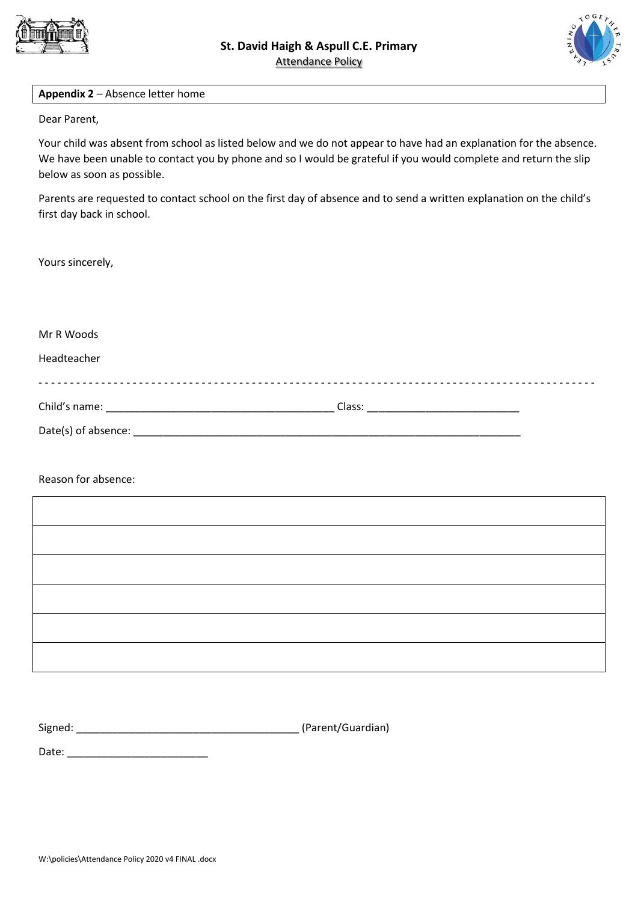



#### **Appendix 2** – Absence letter home

Dear Parent,

Your child was absent from school as listed below and we do not appear to have had an explanation for the absence. We have been unable to contact you by phone and so I would be grateful if you would complete and return the slip below as soon as possible.

Parents are requested to contact school on the first day of absence and to send a written explanation on the child's first day back in school.

Yours sincerely,

Mr R Woods Headteacher - - - - - - - - - - - - - - - - - - - - - - - - - - - - - - - - - - - - - - - - - - - - - - - - - - - - - - - - - - - - - - - - - - - - - - - - - - - - - - - - - - - - - - - - - Child's name: \_\_\_\_\_\_\_\_\_\_\_\_\_\_\_\_\_\_\_\_\_\_\_\_\_\_\_\_\_\_\_\_\_\_\_\_\_\_\_ Class: \_\_\_\_\_\_\_\_\_\_\_\_\_\_\_\_\_\_\_\_\_\_\_\_\_\_ Date(s) of absence: \_\_\_\_\_\_\_\_\_\_\_\_\_\_\_\_\_\_\_\_\_\_\_\_\_\_\_\_\_\_\_\_\_\_\_\_\_\_\_\_\_\_\_\_\_\_\_\_\_\_\_\_\_\_\_\_\_\_\_\_\_\_\_\_\_\_

Reason for absence:

| Signed: | (Parent/Guardian) |
|---------|-------------------|
|---------|-------------------|

Date: \_\_\_\_\_\_\_\_\_\_\_\_\_\_\_\_\_\_\_\_\_\_\_\_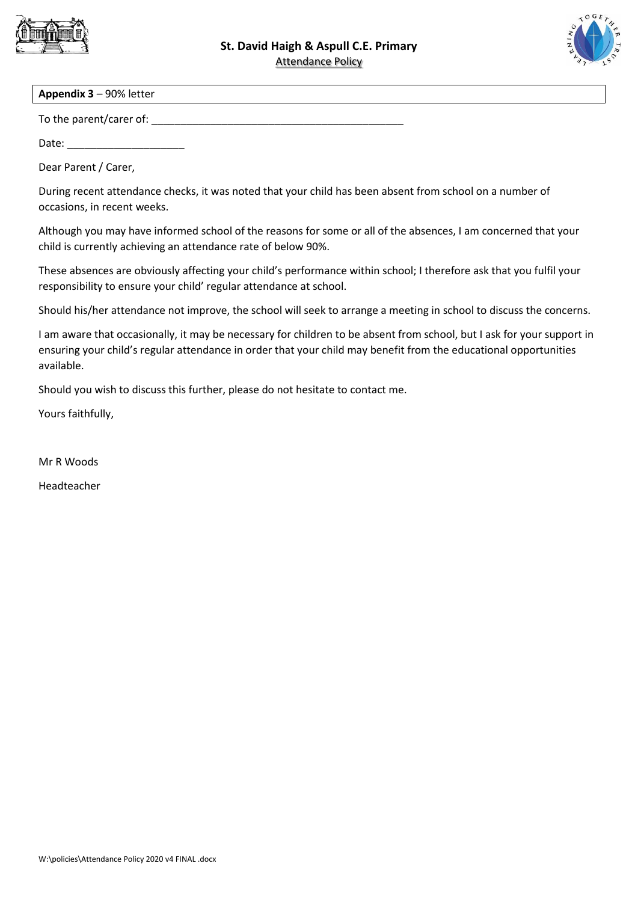



#### **Appendix 3** – 90% letter

To the parent/carer of:

Date:

Dear Parent / Carer,

During recent attendance checks, it was noted that your child has been absent from school on a number of occasions, in recent weeks.

Although you may have informed school of the reasons for some or all of the absences, I am concerned that your child is currently achieving an attendance rate of below 90%.

These absences are obviously affecting your child's performance within school; I therefore ask that you fulfil your responsibility to ensure your child' regular attendance at school.

Should his/her attendance not improve, the school will seek to arrange a meeting in school to discuss the concerns.

I am aware that occasionally, it may be necessary for children to be absent from school, but I ask for your support in ensuring your child's regular attendance in order that your child may benefit from the educational opportunities available.

Should you wish to discuss this further, please do not hesitate to contact me.

Yours faithfully,

Mr R Woods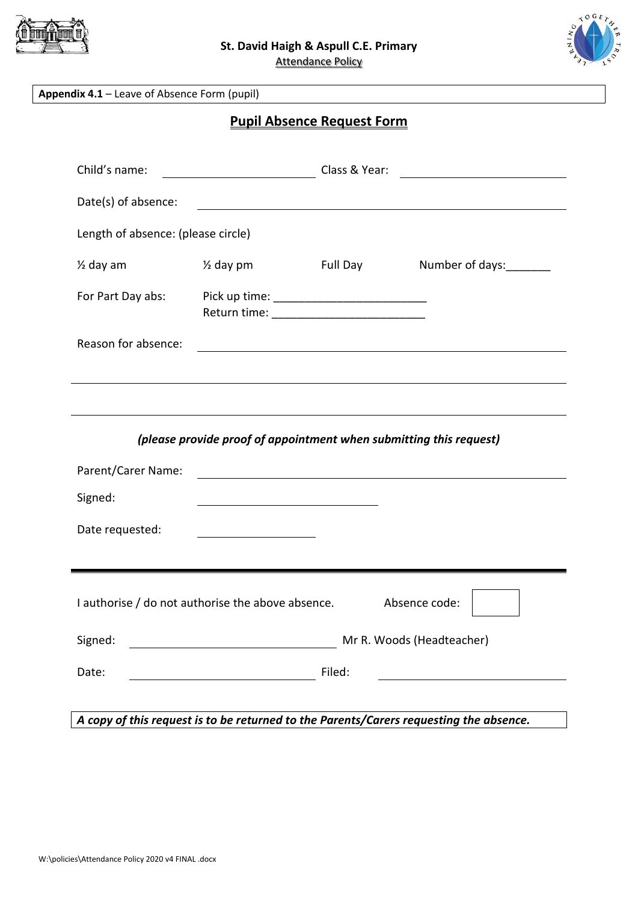



**Appendix 4.1** – Leave of Absence Form (pupil)

**Pupil Absence Request Form**

| Child's name:                                                      |                                                                    | Class & Year: | <u> 1989 - Andrea Station Barbara, amerikan per</u>                                                                   |  |
|--------------------------------------------------------------------|--------------------------------------------------------------------|---------------|-----------------------------------------------------------------------------------------------------------------------|--|
| Date(s) of absence:                                                |                                                                    |               |                                                                                                                       |  |
| Length of absence: (please circle)                                 |                                                                    |               |                                                                                                                       |  |
| $\frac{1}{2}$ day am                                               | $\frac{1}{2}$ day pm                                               | Full Day      | Number of days:                                                                                                       |  |
| For Part Day abs:                                                  |                                                                    |               |                                                                                                                       |  |
| Reason for absence:                                                |                                                                    |               | <u> 1989 - Johann Stoff, deutscher Stoff, der Stoff, der Stoff, der Stoff, der Stoff, der Stoff, der Stoff, der S</u> |  |
|                                                                    |                                                                    |               |                                                                                                                       |  |
|                                                                    |                                                                    |               |                                                                                                                       |  |
|                                                                    | (please provide proof of appointment when submitting this request) |               |                                                                                                                       |  |
| Parent/Carer Name:                                                 |                                                                    |               | <u> 1980 - Johann Stein, fransk politik (f. 1980)</u>                                                                 |  |
| Signed:                                                            |                                                                    |               |                                                                                                                       |  |
| Date requested:                                                    | <u> 1989 - Johann Stoff, Amerikaansk politiker (</u>               |               |                                                                                                                       |  |
|                                                                    |                                                                    |               |                                                                                                                       |  |
| I authorise / do not authorise the above absence.<br>Absence code: |                                                                    |               |                                                                                                                       |  |
| Signed:                                                            |                                                                    |               | Mr R. Woods (Headteacher)                                                                                             |  |
| Date:                                                              |                                                                    | Filed:        |                                                                                                                       |  |
|                                                                    |                                                                    |               |                                                                                                                       |  |

*A copy of this request is to be returned to the Parents/Carers requesting the absence.*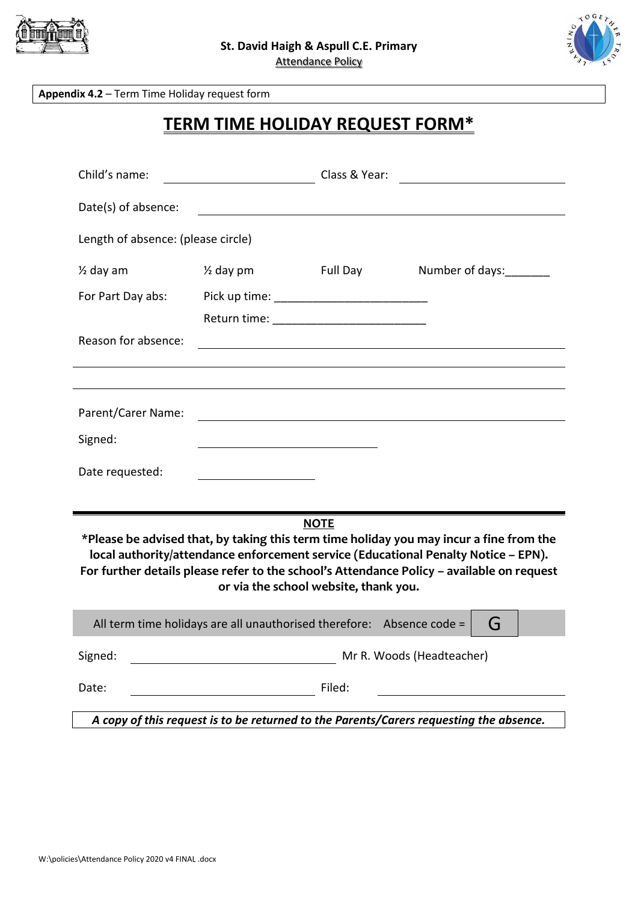



**Appendix 4.2** – Term Time Holiday request form

# **TERM TIME HOLIDAY REQUEST FORM\***

| Child's name:                                                                                                                                                                                                                                                                                                                      |                      | Class & Year:                                                                                                    |                           |
|------------------------------------------------------------------------------------------------------------------------------------------------------------------------------------------------------------------------------------------------------------------------------------------------------------------------------------|----------------------|------------------------------------------------------------------------------------------------------------------|---------------------------|
| Date(s) of absence:                                                                                                                                                                                                                                                                                                                |                      |                                                                                                                  |                           |
| Length of absence: (please circle)                                                                                                                                                                                                                                                                                                 |                      |                                                                                                                  |                           |
| $\frac{1}{2}$ day am                                                                                                                                                                                                                                                                                                               | $\frac{1}{2}$ day pm | Full Day                                                                                                         | Number of days:           |
| For Part Day abs:                                                                                                                                                                                                                                                                                                                  |                      |                                                                                                                  |                           |
|                                                                                                                                                                                                                                                                                                                                    |                      |                                                                                                                  |                           |
| Reason for absence:                                                                                                                                                                                                                                                                                                                |                      |                                                                                                                  |                           |
|                                                                                                                                                                                                                                                                                                                                    |                      |                                                                                                                  |                           |
| Parent/Carer Name:                                                                                                                                                                                                                                                                                                                 |                      | and the control of the control of the control of the control of the control of the control of the control of the |                           |
| Signed:                                                                                                                                                                                                                                                                                                                            |                      |                                                                                                                  |                           |
| Date requested:                                                                                                                                                                                                                                                                                                                    |                      |                                                                                                                  |                           |
|                                                                                                                                                                                                                                                                                                                                    |                      |                                                                                                                  |                           |
| <b>NOTE</b><br>*Please be advised that, by taking this term time holiday you may incur a fine from the<br>local authority/attendance enforcement service (Educational Penalty Notice - EPN).<br>For further details please refer to the school's Attendance Policy - available on request<br>or via the school website, thank you. |                      |                                                                                                                  |                           |
| All term time holidays are all unauthorised therefore: Absence code =<br>G                                                                                                                                                                                                                                                         |                      |                                                                                                                  |                           |
| Signed:                                                                                                                                                                                                                                                                                                                            |                      |                                                                                                                  | Mr R. Woods (Headteacher) |
| Date:                                                                                                                                                                                                                                                                                                                              |                      | Filed:                                                                                                           |                           |
| A copy of this request is to be returned to the Parents/Carers requesting the absence.                                                                                                                                                                                                                                             |                      |                                                                                                                  |                           |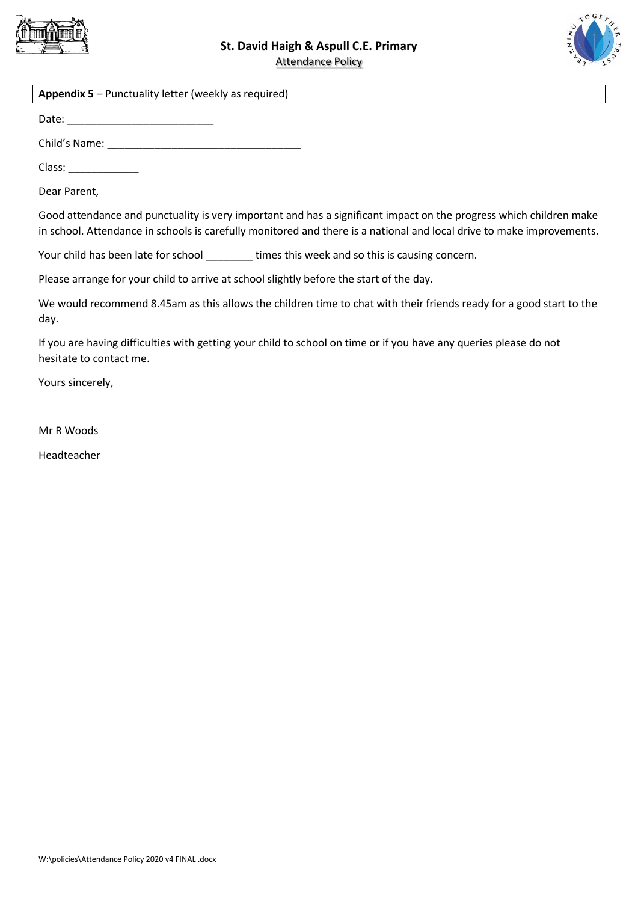



#### **Appendix 5** – Punctuality letter (weekly as required)

Date: \_\_\_\_\_\_\_\_\_\_\_\_\_\_\_\_\_\_\_\_\_\_\_\_\_

Child's Name:

Class:

Dear Parent,

Good attendance and punctuality is very important and has a significant impact on the progress which children make in school. Attendance in schools is carefully monitored and there is a national and local drive to make improvements.

Your child has been late for school \_\_\_\_\_\_\_ times this week and so this is causing concern.

Please arrange for your child to arrive at school slightly before the start of the day.

We would recommend 8.45am as this allows the children time to chat with their friends ready for a good start to the day.

If you are having difficulties with getting your child to school on time or if you have any queries please do not hesitate to contact me.

Yours sincerely,

Mr R Woods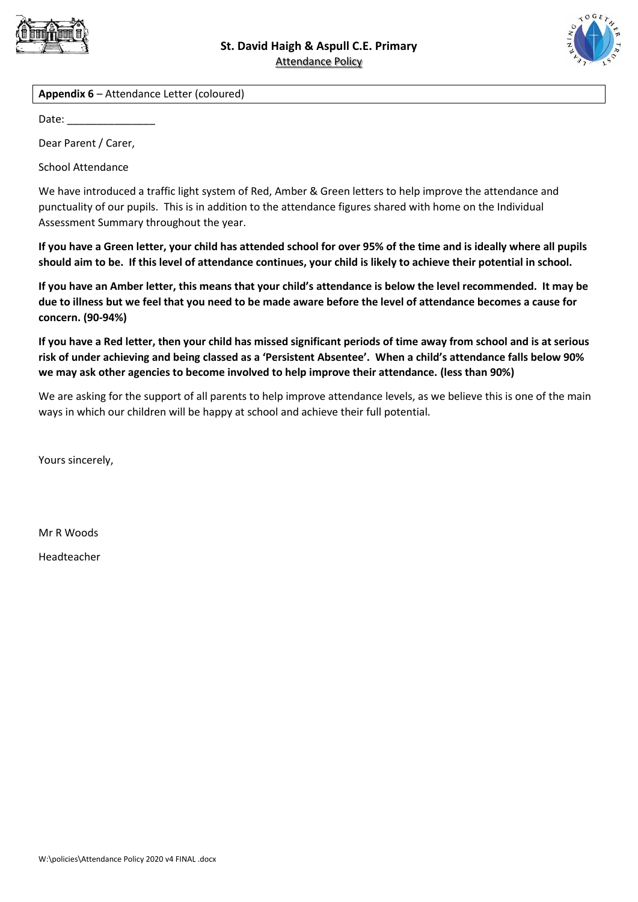



**Appendix 6** – Attendance Letter (coloured)

Date:  $\overline{\phantom{a}}$ 

Dear Parent / Carer,

School Attendance

We have introduced a traffic light system of Red, Amber & Green letters to help improve the attendance and punctuality of our pupils. This is in addition to the attendance figures shared with home on the Individual Assessment Summary throughout the year.

**If you have a Green letter, your child has attended school for over 95% of the time and is ideally where all pupils should aim to be. If this level of attendance continues, your child is likely to achieve their potential in school.**

**If you have an Amber letter, this means that your child's attendance is below the level recommended. It may be due to illness but we feel that you need to be made aware before the level of attendance becomes a cause for concern. (90-94%)**

**If you have a Red letter, then your child has missed significant periods of time away from school and is at serious risk of under achieving and being classed as a 'Persistent Absentee'. When a child's attendance falls below 90% we may ask other agencies to become involved to help improve their attendance. (less than 90%)**

We are asking for the support of all parents to help improve attendance levels, as we believe this is one of the main ways in which our children will be happy at school and achieve their full potential.

Yours sincerely,

Mr R Woods